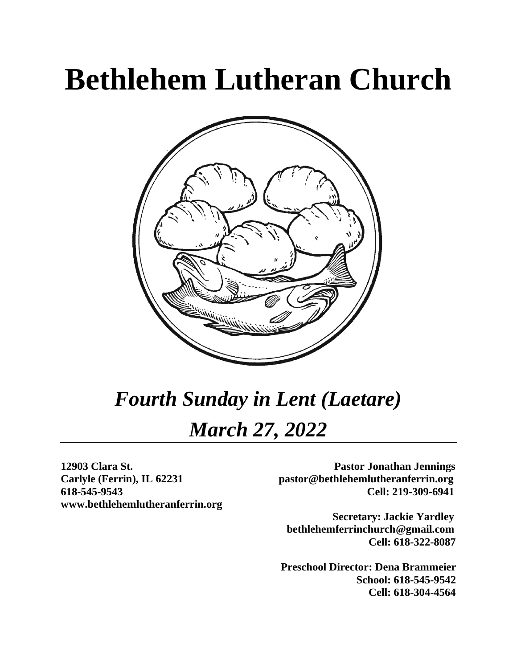# **Bethlehem Lutheran Church**



# *Fourth Sunday in Lent (Laetare) March 27, 2022*

**www.bethlehemlutheranferrin.org**

**12903 Clara St. Pastor Jonathan Jennings Carlyle (Ferrin), IL 62231 pastor@bethlehemlutheranferrin.org 618-545-9543 Cell: 219-309-6941** 

> **Secretary: Jackie Yardley bethlehemferrinchurch@gmail.com Cell: 618-322-8087**

 **Preschool Director: Dena Brammeier School: 618-545-9542 Cell: 618-304-4564**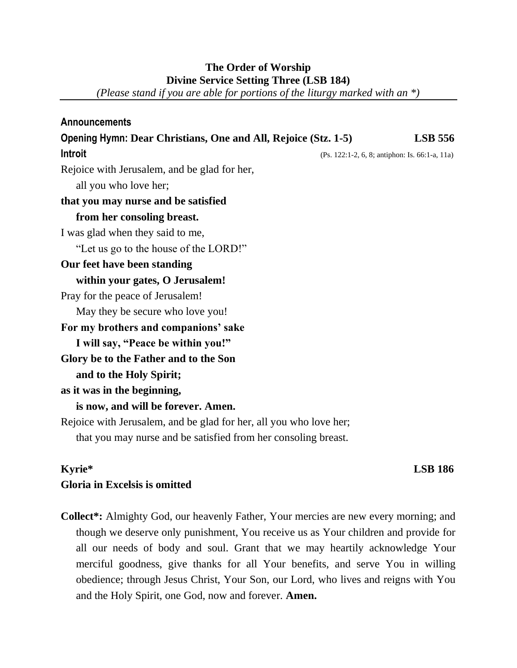#### **The Order of Worship Divine Service Setting Three (LSB 184)**

*(Please stand if you are able for portions of the liturgy marked with an \*)*

| Announcements                                                      |                                                |
|--------------------------------------------------------------------|------------------------------------------------|
| Opening Hymn: Dear Christians, One and All, Rejoice (Stz. 1-5)     | <b>LSB 556</b>                                 |
| Introit                                                            | (Ps. 122:1-2, 6, 8; antiphon: Is. 66:1-a, 11a) |
| Rejoice with Jerusalem, and be glad for her,                       |                                                |
| all you who love her;                                              |                                                |
| that you may nurse and be satisfied                                |                                                |
| from her consoling breast.                                         |                                                |
| I was glad when they said to me,                                   |                                                |
| "Let us go to the house of the LORD!"                              |                                                |
| Our feet have been standing                                        |                                                |
| within your gates, O Jerusalem!                                    |                                                |
| Pray for the peace of Jerusalem!                                   |                                                |
| May they be secure who love you!                                   |                                                |
| For my brothers and companions' sake                               |                                                |
| I will say, "Peace be within you!"                                 |                                                |
| Glory be to the Father and to the Son                              |                                                |
| and to the Holy Spirit;                                            |                                                |
| as it was in the beginning,                                        |                                                |
| is now, and will be forever. Amen.                                 |                                                |
| Rejoice with Jerusalem, and be glad for her, all you who love her; |                                                |
| that you may nurse and be satisfied from her consoling breast.     |                                                |

## **Kyrie\* LSB 186 Gloria in Excelsis is omitted**

**Collect\*:** Almighty God, our heavenly Father, Your mercies are new every morning; and though we deserve only punishment, You receive us as Your children and provide for all our needs of body and soul. Grant that we may heartily acknowledge Your merciful goodness, give thanks for all Your benefits, and serve You in willing obedience; through Jesus Christ, Your Son, our Lord, who lives and reigns with You and the Holy Spirit, one God, now and forever. **Amen.**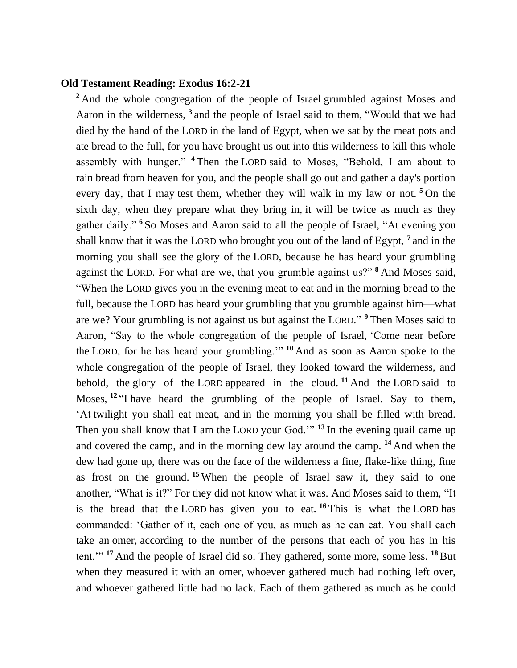#### **Old Testament Reading: Exodus 16:2-21**

<sup>2</sup> And the whole congregation of the people of Israel grumbled against Moses and Aaron in the wilderness, **<sup>3</sup>** and the people of Israel said to them, "Would that we had died by the hand of the LORD in the land of Egypt, when we sat by the meat pots and ate bread to the full, for you have brought us out into this wilderness to kill this whole assembly with hunger." **<sup>4</sup>** Then the LORD said to Moses, "Behold, I am about to rain bread from heaven for you, and the people shall go out and gather a day's portion every day, that I may test them, whether they will walk in my law or not. **<sup>5</sup>** On the sixth day, when they prepare what they bring in, it will be twice as much as they gather daily." **<sup>6</sup>** So Moses and Aaron said to all the people of Israel, "At evening you shall know that it was the LORD who brought you out of the land of Egypt, **<sup>7</sup>** and in the morning you shall see the glory of the LORD, because he has heard your grumbling against the LORD. For what are we, that you grumble against us?" **<sup>8</sup>** And Moses said, "When the LORD gives you in the evening meat to eat and in the morning bread to the full, because the LORD has heard your grumbling that you grumble against him—what are we? Your grumbling is not against us but against the LORD." **<sup>9</sup>** Then Moses said to Aaron, "Say to the whole congregation of the people of Israel, 'Come near before the LORD, for he has heard your grumbling.'" **<sup>10</sup>** And as soon as Aaron spoke to the whole congregation of the people of Israel, they looked toward the wilderness, and behold, the glory of the LORD appeared in the cloud. **<sup>11</sup>** And the LORD said to Moses, <sup>12</sup> "I have heard the grumbling of the people of Israel. Say to them, 'At twilight you shall eat meat, and in the morning you shall be filled with bread. Then you shall know that I am the LORD your God.'" **<sup>13</sup>** In the evening quail came up and covered the camp, and in the morning dew lay around the camp. **<sup>14</sup>** And when the dew had gone up, there was on the face of the wilderness a fine, flake-like thing, fine as frost on the ground. **<sup>15</sup>** When the people of Israel saw it, they said to one another, "What is it?" For they did not know what it was. And Moses said to them, "It is the bread that the LORD has given you to eat. **<sup>16</sup>** This is what the LORD has commanded: 'Gather of it, each one of you, as much as he can eat. You shall each take an omer, according to the number of the persons that each of you has in his tent.'" **<sup>17</sup>** And the people of Israel did so. They gathered, some more, some less. **<sup>18</sup>** But when they measured it with an omer, whoever gathered much had nothing left over, and whoever gathered little had no lack. Each of them gathered as much as he could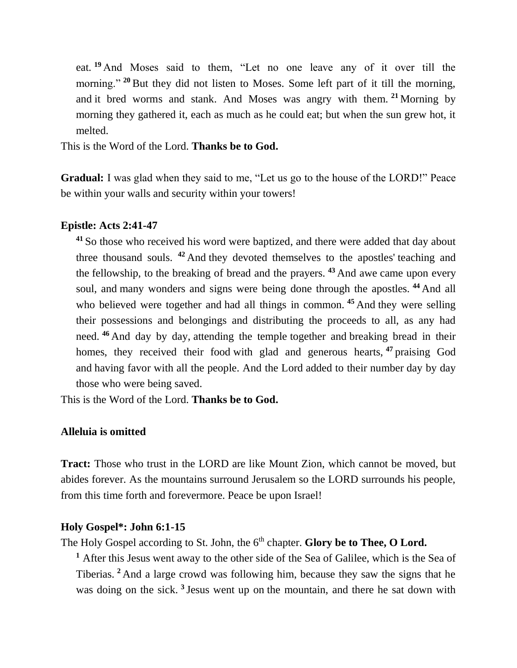eat. **<sup>19</sup>** And Moses said to them, "Let no one leave any of it over till the morning."<sup>20</sup> But they did not listen to Moses. Some left part of it till the morning, and it bred worms and stank. And Moses was angry with them. **<sup>21</sup>** Morning by morning they gathered it, each as much as he could eat; but when the sun grew hot, it melted.

This is the Word of the Lord. **Thanks be to God.**

**Gradual:** I was glad when they said to me, "Let us go to the house of the LORD!" Peace be within your walls and security within your towers!

#### **Epistle: Acts 2:41-47**

**<sup>41</sup>** So those who received his word were baptized, and there were added that day about three thousand souls. **<sup>42</sup>** And they devoted themselves to the apostles' teaching and the fellowship, to the breaking of bread and the prayers. **<sup>43</sup>** And awe came upon every soul, and many wonders and signs were being done through the apostles. **<sup>44</sup>** And all who believed were together and had all things in common. <sup>45</sup> And they were selling their possessions and belongings and distributing the proceeds to all, as any had need. **<sup>46</sup>** And day by day, attending the temple together and breaking bread in their homes, they received their food with glad and generous hearts, **<sup>47</sup>** praising God and having favor with all the people. And the Lord added to their number day by day those who were being saved.

This is the Word of the Lord. **Thanks be to God.**

#### **Alleluia is omitted**

**Tract:** Those who trust in the LORD are like Mount Zion, which cannot be moved, but abides forever. As the mountains surround Jerusalem so the LORD surrounds his people, from this time forth and forevermore. Peace be upon Israel!

#### **Holy Gospel\*: John 6:1-15**

The Holy Gospel according to St. John, the 6<sup>th</sup> chapter. **Glory be to Thee, O Lord.** 

**<sup>1</sup>** After this Jesus went away to the other side of the Sea of Galilee, which is the Sea of Tiberias. **<sup>2</sup>** And a large crowd was following him, because they saw the signs that he was doing on the sick. **<sup>3</sup>** Jesus went up on the mountain, and there he sat down with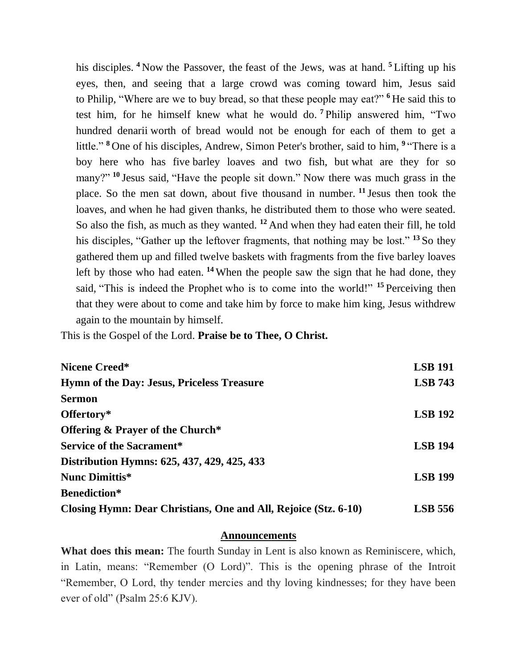his disciples. **<sup>4</sup>** Now the Passover, the feast of the Jews, was at hand. **<sup>5</sup>** Lifting up his eyes, then, and seeing that a large crowd was coming toward him, Jesus said to Philip, "Where are we to buy bread, so that these people may eat?" **<sup>6</sup>** He said this to test him, for he himself knew what he would do. **<sup>7</sup>** Philip answered him, "Two hundred denarii worth of bread would not be enough for each of them to get a little." **<sup>8</sup>** One of his disciples, Andrew, Simon Peter's brother, said to him, **<sup>9</sup>** "There is a boy here who has five barley loaves and two fish, but what are they for so many?" <sup>10</sup> Jesus said, "Have the people sit down." Now there was much grass in the place. So the men sat down, about five thousand in number. **<sup>11</sup>** Jesus then took the loaves, and when he had given thanks, he distributed them to those who were seated. So also the fish, as much as they wanted. **<sup>12</sup>** And when they had eaten their fill, he told his disciples, "Gather up the leftover fragments, that nothing may be lost." **<sup>13</sup>** So they gathered them up and filled twelve baskets with fragments from the five barley loaves left by those who had eaten. **<sup>14</sup>** When the people saw the sign that he had done, they said, "This is indeed the Prophet who is to come into the world!" **<sup>15</sup>** Perceiving then that they were about to come and take him by force to make him king, Jesus withdrew again to the mountain by himself.

This is the Gospel of the Lord. **Praise be to Thee, O Christ.**

| Nicene Creed*                                                   | <b>LSB 191</b> |
|-----------------------------------------------------------------|----------------|
| <b>Hymn of the Day: Jesus, Priceless Treasure</b>               | <b>LSB</b> 743 |
| <b>Sermon</b>                                                   |                |
| Offertory*                                                      | <b>LSB 192</b> |
| <b>Offering &amp; Prayer of the Church*</b>                     |                |
| <b>Service of the Sacrament*</b>                                | <b>LSB 194</b> |
| Distribution Hymns: 625, 437, 429, 425, 433                     |                |
| Nunc Dimittis*                                                  | <b>LSB 199</b> |
| <b>Benediction*</b>                                             |                |
| Closing Hymn: Dear Christians, One and All, Rejoice (Stz. 6-10) | <b>LSB</b> 556 |

#### **Announcements**

**What does this mean:** The fourth Sunday in Lent is also known as Reminiscere, which, in Latin, means: "Remember (O Lord)". This is the opening phrase of the Introit "Remember, O Lord, thy tender mercies and thy loving kindnesses; for they have been ever of old" (Psalm 25:6 KJV).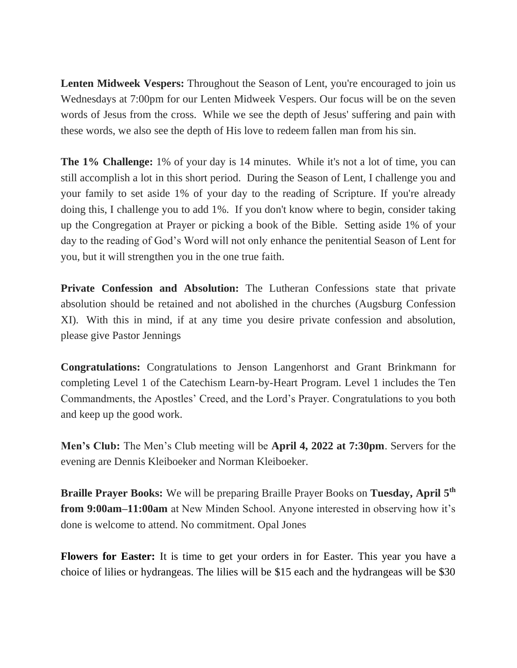Lenten Midweek Vespers: Throughout the Season of Lent, you're encouraged to join us Wednesdays at 7:00pm for our Lenten Midweek Vespers. Our focus will be on the seven words of Jesus from the cross. While we see the depth of Jesus' suffering and pain with these words, we also see the depth of His love to redeem fallen man from his sin.

**The 1% Challenge:** 1% of your day is 14 minutes. While it's not a lot of time, you can still accomplish a lot in this short period. During the Season of Lent, I challenge you and your family to set aside 1% of your day to the reading of Scripture. If you're already doing this, I challenge you to add 1%. If you don't know where to begin, consider taking up the Congregation at Prayer or picking a book of the Bible. Setting aside 1% of your day to the reading of God's Word will not only enhance the penitential Season of Lent for you, but it will strengthen you in the one true faith.

**Private Confession and Absolution:** The Lutheran Confessions state that private absolution should be retained and not abolished in the churches (Augsburg Confession XI). With this in mind, if at any time you desire private confession and absolution, please give Pastor Jennings

**Congratulations:** Congratulations to Jenson Langenhorst and Grant Brinkmann for completing Level 1 of the Catechism Learn-by-Heart Program. Level 1 includes the Ten Commandments, the Apostles' Creed, and the Lord's Prayer. Congratulations to you both and keep up the good work.

**Men's Club:** The Men's Club meeting will be **April 4, 2022 at 7:30pm**. Servers for the evening are Dennis Kleiboeker and Norman Kleiboeker.

**Braille Prayer Books:** We will be preparing Braille Prayer Books on **Tuesday, April 5th from 9:00am–11:00am** at New Minden School. Anyone interested in observing how it's done is welcome to attend. No commitment. Opal Jones

**Flowers for Easter:** It is time to get your orders in for Easter. This year you have a choice of lilies or hydrangeas. The lilies will be \$15 each and the hydrangeas will be \$30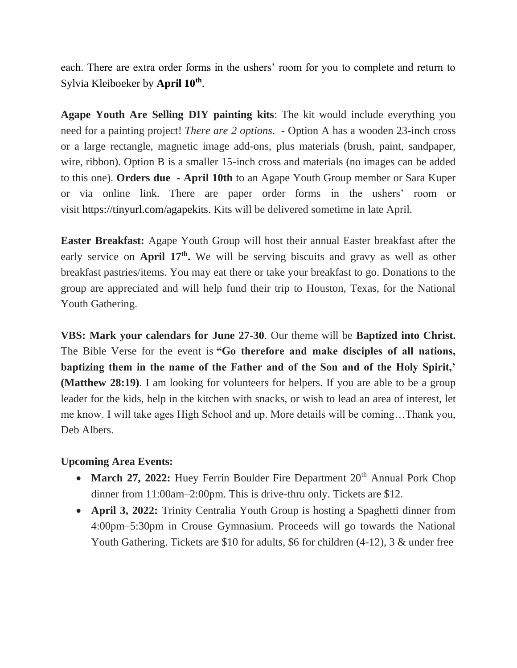each. There are extra order forms in the ushers' room for you to complete and return to Sylvia Kleiboeker by **April 10th** .

**Agape Youth Are Selling DIY painting kits**: The kit would include everything you need for a painting project! *There are 2 options*. - Option A has a wooden 23-inch cross or a large rectangle, magnetic image add-ons, plus materials (brush, paint, sandpaper, wire, ribbon). Option B is a smaller 15-inch cross and materials (no images can be added to this one). **Orders due - April 10th** to an Agape Youth Group member or Sara Kuper or via online link. There are paper order forms in the ushers' room or visit [https://tinyurl.com/agapekits.](https://tinyurl.com/agapekits) Kits will be delivered sometime in late April.

**Easter Breakfast:** Agape Youth Group will host their annual Easter breakfast after the early service on **April 17th .** We will be serving biscuits and gravy as well as other breakfast pastries/items. You may eat there or take your breakfast to go. Donations to the group are appreciated and will help fund their trip to Houston, Texas, for the National Youth Gathering.

**VBS: Mark your calendars for June 27-30**. Our theme will be **Baptized into Christ.** The Bible Verse for the event is **"Go therefore and make disciples of all nations, baptizing them in the name of the Father and of the Son and of the Holy Spirit,' (Matthew 28:19)**. I am looking for volunteers for helpers. If you are able to be a group leader for the kids, help in the kitchen with snacks, or wish to lead an area of interest, let me know. I will take ages High School and up. More details will be coming…Thank you, Deb Albers.

### **Upcoming Area Events:**

- March 27, 2022: Huey Ferrin Boulder Fire Department 20<sup>th</sup> Annual Pork Chop dinner from 11:00am–2:00pm. This is drive-thru only. Tickets are \$12.
- **April 3, 2022:** Trinity Centralia Youth Group is hosting a Spaghetti dinner from 4:00pm–5:30pm in Crouse Gymnasium. Proceeds will go towards the National Youth Gathering. Tickets are \$10 for adults, \$6 for children (4-12), 3 & under free